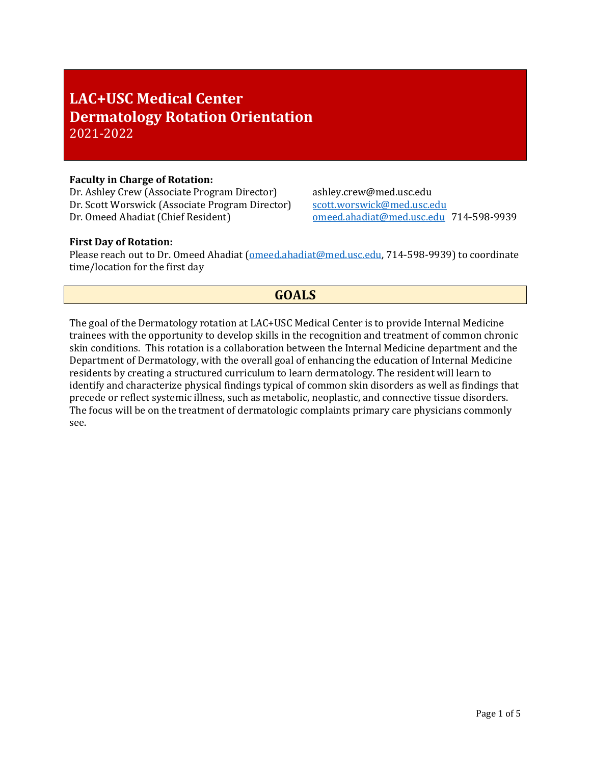# **LAC+USC Medical Center Dermatology Rotation Orientation** 2021-2022

### **Faculty in Charge of Rotation:**

Dr. Ashley Crew (Associate Program Director) ashley.crew@med.usc.edu<br>Dr. Scott Worswick (Associate Program Director) scott.worswick@med.usc.edu Dr. Scott Worswick (Associate Program Director) Dr. Omeed Ahadiat (Chief Resident) omeed.ahadiat@med.usc.edu 714-598-9939

### **First Day of Rotation:**

Please reach out to Dr. Omeed Ahadiat (omeed.ahadiat@med.usc.edu, 714-598-9939) to coordinate time/location for the first day

## **GOALS**

The goal of the Dermatology rotation at LAC+USC Medical Center is to provide Internal Medicine trainees with the opportunity to develop skills in the recognition and treatment of common chronic skin conditions. This rotation is a collaboration between the Internal Medicine department and the Department of Dermatology, with the overall goal of enhancing the education of Internal Medicine residents by creating a structured curriculum to learn dermatology. The resident will learn to identify and characterize physical findings typical of common skin disorders as well as findings that precede or reflect systemic illness, such as metabolic, neoplastic, and connective tissue disorders. The focus will be on the treatment of dermatologic complaints primary care physicians commonly see.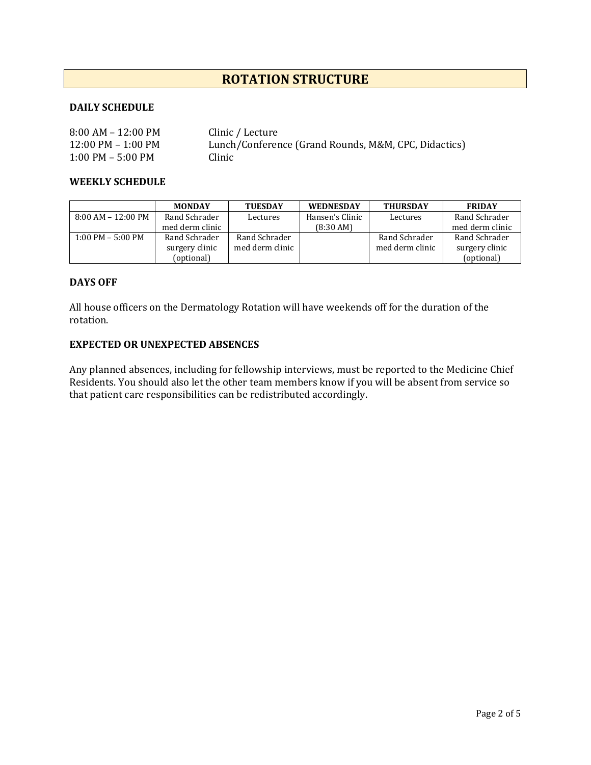## **ROTATION STRUCTURE**

## **DAILY SCHEDULE**

| $8:00$ AM – 12:00 PM                 | Clinic / Lecture                                     |
|--------------------------------------|------------------------------------------------------|
| $12:00 \text{ PM} - 1:00 \text{ PM}$ | Lunch/Conference (Grand Rounds, M&M, CPC, Didactics) |
| $1:00$ PM – 5:00 PM                  | Clinic                                               |

#### **WEEKLY SCHEDULE**

|                     | <b>MONDAY</b>   | <b>TUESDAY</b>  | <b>WEDNESDAY</b>    | <b>THURSDAY</b> | <b>FRIDAY</b>   |
|---------------------|-----------------|-----------------|---------------------|-----------------|-----------------|
| 8:00 AM – 12:00 PM  | Rand Schrader   | Lectures        | Hansen's Clinic     | Lectures        | Rand Schrader   |
|                     | med derm clinic |                 | $(8:30 \text{ AM})$ |                 | med derm clinic |
| $1:00$ PM – 5:00 PM | Rand Schrader   | Rand Schrader   |                     | Rand Schrader   | Rand Schrader   |
|                     | surgery clinic  | med derm clinic |                     | med derm clinic | surgery clinic  |
|                     | (optional)      |                 |                     |                 | (optional)      |

### **DAYS OFF**

All house officers on the Dermatology Rotation will have weekends off for the duration of the rotation.

#### **EXPECTED OR UNEXPECTED ABSENCES**

Any planned absences, including for fellowship interviews, must be reported to the Medicine Chief Residents. You should also let the other team members know if you will be absent from service so that patient care responsibilities can be redistributed accordingly.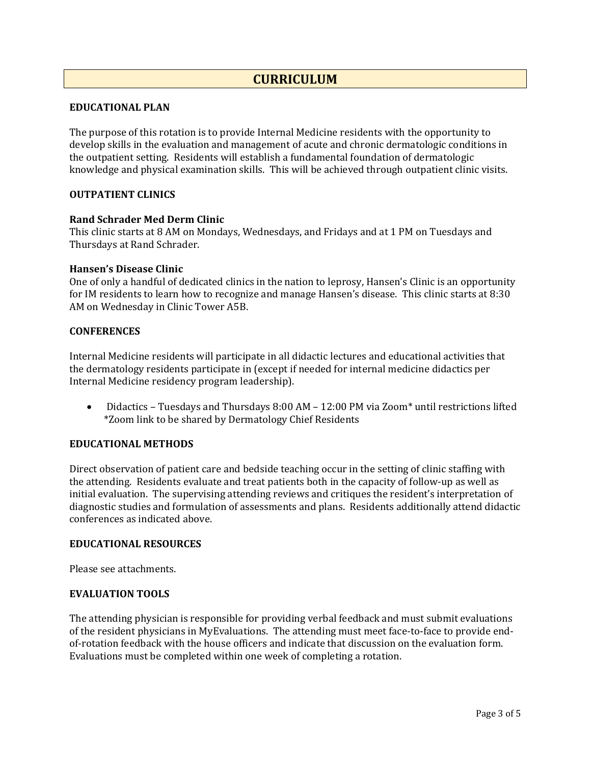## **CURRICULUM**

#### **EDUCATIONAL PLAN**

The purpose of this rotation is to provide Internal Medicine residents with the opportunity to develop skills in the evaluation and management of acute and chronic dermatologic conditions in the outpatient setting. Residents will establish a fundamental foundation of dermatologic knowledge and physical examination skills. This will be achieved through outpatient clinic visits.

### **OUTPATIENT CLINICS**

#### **Rand Schrader Med Derm Clinic**

This clinic starts at 8 AM on Mondays, Wednesdays, and Fridays and at 1 PM on Tuesdays and Thursdays at Rand Schrader.

#### **Hansen's Disease Clinic**

One of only a handful of dedicated clinics in the nation to leprosy, Hansen's Clinic is an opportunity for IM residents to learn how to recognize and manage Hansen's disease. This clinic starts at 8:30 AM on Wednesday in Clinic Tower A5B.

#### **CONFERENCES**

Internal Medicine residents will participate in all didactic lectures and educational activities that the dermatology residents participate in (except if needed for internal medicine didactics per Internal Medicine residency program leadership).

• Didactics – Tuesdays and Thursdays 8:00 AM – 12:00 PM via Zoom\* until restrictions lifted \*Zoom link to be shared by Dermatology Chief Residents

### **EDUCATIONAL METHODS**

Direct observation of patient care and bedside teaching occur in the setting of clinic staffing with the attending. Residents evaluate and treat patients both in the capacity of follow-up as well as initial evaluation. The supervising attending reviews and critiques the resident's interpretation of diagnostic studies and formulation of assessments and plans. Residents additionally attend didactic conferences as indicated above.

#### **EDUCATIONAL RESOURCES**

Please see attachments.

#### **EVALUATION TOOLS**

The attending physician is responsible for providing verbal feedback and must submit evaluations of the resident physicians in MyEvaluations. The attending must meet face-to-face to provide endof-rotation feedback with the house officers and indicate that discussion on the evaluation form. Evaluations must be completed within one week of completing a rotation.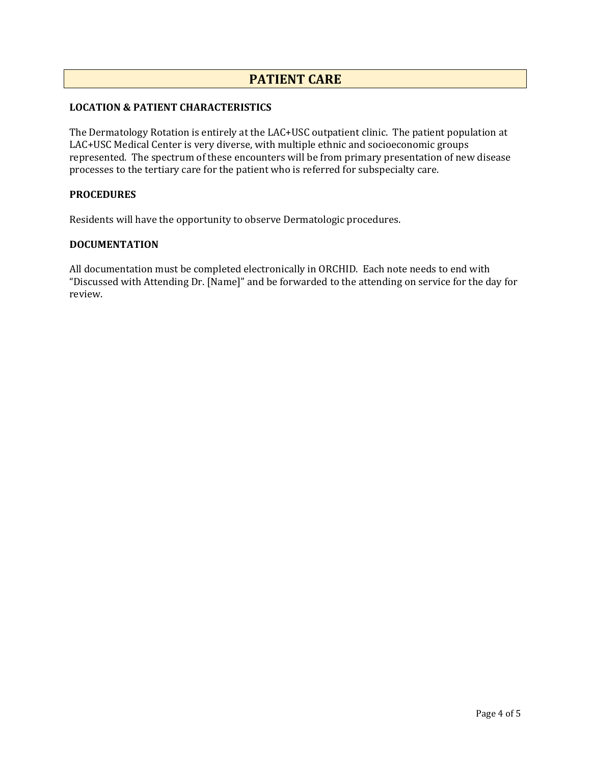## **PATIENT CARE**

## **LOCATION & PATIENT CHARACTERISTICS**

The Dermatology Rotation is entirely at the LAC+USC outpatient clinic. The patient population at LAC+USC Medical Center is very diverse, with multiple ethnic and socioeconomic groups represented. The spectrum of these encounters will be from primary presentation of new disease processes to the tertiary care for the patient who is referred for subspecialty care.

#### **PROCEDURES**

Residents will have the opportunity to observe Dermatologic procedures.

#### **DOCUMENTATION**

All documentation must be completed electronically in ORCHID. Each note needs to end with "Discussed with Attending Dr. [Name]" and be forwarded to the attending on service for the day for review.